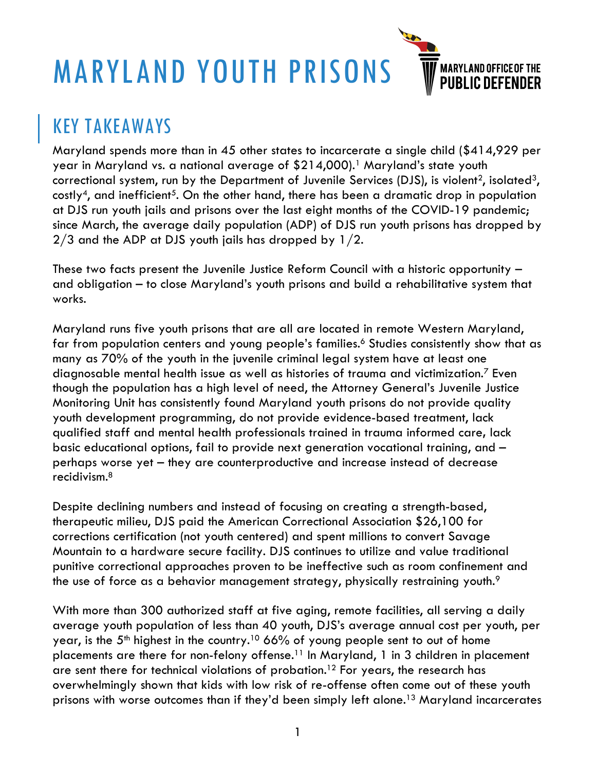# MARYLAND YOUTH PRISONS



## KEY TAKEAWAYS

Maryland spends more than in 45 other states to incarcerate a single child (\$414,929 per year in Maryland vs. a national average of \$214,000).1 Maryland's state youth correctional system, run by the Department of Juvenile Services (DJS), is violent<sup>2</sup>, isolated<sup>3</sup>, costly<sup>4</sup>, and inefficient<sup>5</sup>. On the other hand, there has been a dramatic drop in population at DJS run youth jails and prisons over the last eight months of the COVID-19 pandemic; since March, the average daily population (ADP) of DJS run youth prisons has dropped by 2/3 and the ADP at DJS youth jails has dropped by 1/2.

These two facts present the Juvenile Justice Reform Council with a historic opportunity – and obligation – to close Maryland's youth prisons and build a rehabilitative system that works.

Maryland runs five youth prisons that are all are located in remote Western Maryland, far from population centers and young people's families.<sup>6</sup> Studies consistently show that as many as 70% of the youth in the juvenile criminal legal system have at least one diagnosable mental health issue as well as histories of trauma and victimization.7 Even though the population has a high level of need, the Attorney General's Juvenile Justice Monitoring Unit has consistently found Maryland youth prisons do not provide quality youth development programming, do not provide evidence-based treatment, lack qualified staff and mental health professionals trained in trauma informed care**,** lack basic educational options, fail to provide next generation vocational training, and – perhaps worse yet – they are counterproductive and increase instead of decrease recidivism.8

Despite declining numbers and instead of focusing on creating a strength-based, therapeutic milieu, DJS paid the American Correctional Association \$26,100 for corrections certification (not youth centered) and spent millions to convert Savage Mountain to a hardware secure facility. DJS continues to utilize and value traditional punitive correctional approaches proven to be ineffective such as room confinement and the use of force as a behavior management strategy, physically restraining youth.<sup>9</sup>

With more than 300 authorized staff at five aging, remote facilities, all serving a daily average youth population of less than 40 youth, DJS's average annual cost per youth, per year, is the  $5<sup>th</sup>$  highest in the country.<sup>10</sup> 66% of young people sent to out of home placements are there for non-felony offense.<sup>11</sup> In Maryland, 1 in 3 children in placement are sent there for technical violations of probation.<sup>12</sup> For years, the research has overwhelmingly shown that kids with low risk of re-offense often come out of these youth prisons with worse outcomes than if they'd been simply left alone.<sup>13</sup> Maryland incarcerates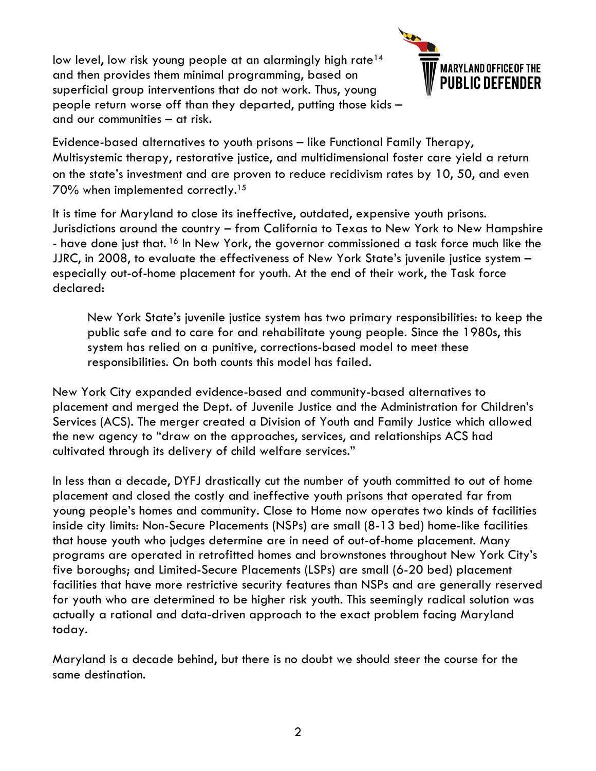low level, low risk young people at an alarmingly high rate<sup>14</sup> and then provides them minimal programming, based on superficial group interventions that do not work. Thus, young people return worse off than they departed, putting those kids – and our communities – at risk.



Evidence-based alternatives to youth prisons – like Functional Family Therapy, Multisystemic therapy, restorative justice, and multidimensional foster care yield a return on the state's investment and are proven to reduce recidivism rates by 10, 50, and even 70% when implemented correctly.15

It is time for Maryland to close its ineffective, outdated, expensive youth prisons. Jurisdictions around the country – from California to Texas to New York to New Hampshire - have done just that. <sup>16</sup> In New York, the governor commissioned a task force much like the JJRC, in 2008, to evaluate the effectiveness of New York State's juvenile justice system – especially out-of-home placement for youth. At the end of their work, the Task force declared:

New York State's juvenile justice system has two primary responsibilities: to keep the public safe and to care for and rehabilitate young people. Since the 1980s, this system has relied on a punitive, corrections-based model to meet these responsibilities. On both counts this model has failed.

New York City expanded evidence-based and community-based alternatives to placement and merged the Dept. of Juvenile Justice and the Administration for Children's Services (ACS). The merger created a Division of Youth and Family Justice which allowed the new agency to "draw on the approaches, services, and relationships ACS had cultivated through its delivery of child welfare services."

In less than a decade, DYFJ drastically cut the number of youth committed to out of home placement and closed the costly and ineffective youth prisons that operated far from young people's homes and community. Close to Home now operates two kinds of facilities inside city limits: Non-Secure Placements (NSPs) are small (8-13 bed) home-like facilities that house youth who judges determine are in need of out-of-home placement. Many programs are operated in retrofitted homes and brownstones throughout New York City's five boroughs; and Limited-Secure Placements (LSPs) are small (6-20 bed) placement facilities that have more restrictive security features than NSPs and are generally reserved for youth who are determined to be higher risk youth. This seemingly radical solution was actually a rational and data-driven approach to the exact problem facing Maryland today.

Maryland is a decade behind, but there is no doubt we should steer the course for the same destination.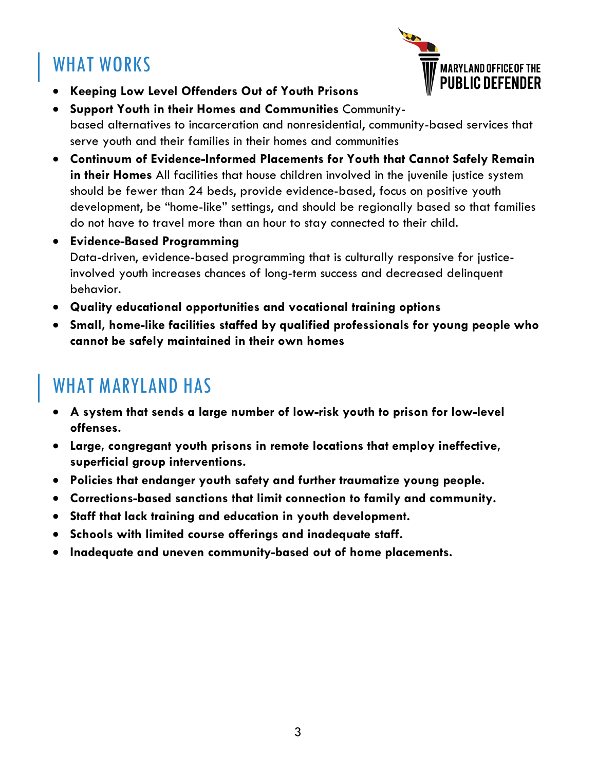# WHAT WORKS



- **Keeping Low Level Offenders Out of Youth Prisons**
- **Support Youth in their Homes and Communities** Communitybased alternatives to incarceration and nonresidential, community-based services that serve youth and their families in their homes and communities
- **Continuum of Evidence-Informed Placements for Youth that Cannot Safely Remain in their Homes** All facilities that house children involved in the juvenile justice system should be fewer than 24 beds, provide evidence-based, focus on positive youth development, be "home-like" settings, and should be regionally based so that families do not have to travel more than an hour to stay connected to their child.
- **Evidence-Based Programming**  Data-driven, evidence-based programming that is culturally responsive for justiceinvolved youth increases chances of long-term success and decreased delinquent behavior.
- **Quality educational opportunities and vocational training options**
- **Small, home-like facilities staffed by qualified professionals for young people who cannot be safely maintained in their own homes**

## WHAT MARYLAND HAS

- **A system that sends a large number of low-risk youth to prison for low-level offenses.**
- **Large, congregant youth prisons in remote locations that employ ineffective, superficial group interventions.**
- **Policies that endanger youth safety and further traumatize young people.**
- **Corrections-based sanctions that limit connection to family and community.**
- **Staff that lack training and education in youth development.**
- **Schools with limited course offerings and inadequate staff.**
- **Inadequate and uneven community-based out of home placements.**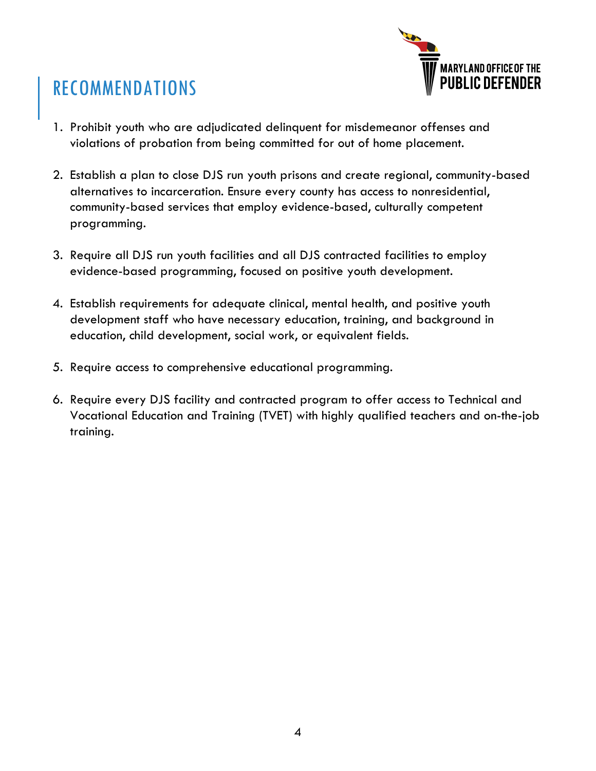

# RECOMMENDATIONS

- 1. Prohibit youth who are adjudicated delinquent for misdemeanor offenses and violations of probation from being committed for out of home placement.
- 2. Establish a plan to close DJS run youth prisons and create regional, community-based alternatives to incarceration. Ensure every county has access to nonresidential, community-based services that employ evidence-based, culturally competent programming.
- 3. Require all DJS run youth facilities and all DJS contracted facilities to employ evidence-based programming, focused on positive youth development.
- 4. Establish requirements for adequate clinical, mental health, and positive youth development staff who have necessary education, training, and background in education, child development, social work, or equivalent fields.
- 5. Require access to comprehensive educational programming.
- 6. Require every DJS facility and contracted program to offer access to Technical and Vocational Education and Training (TVET) with highly qualified teachers and on-the-job training.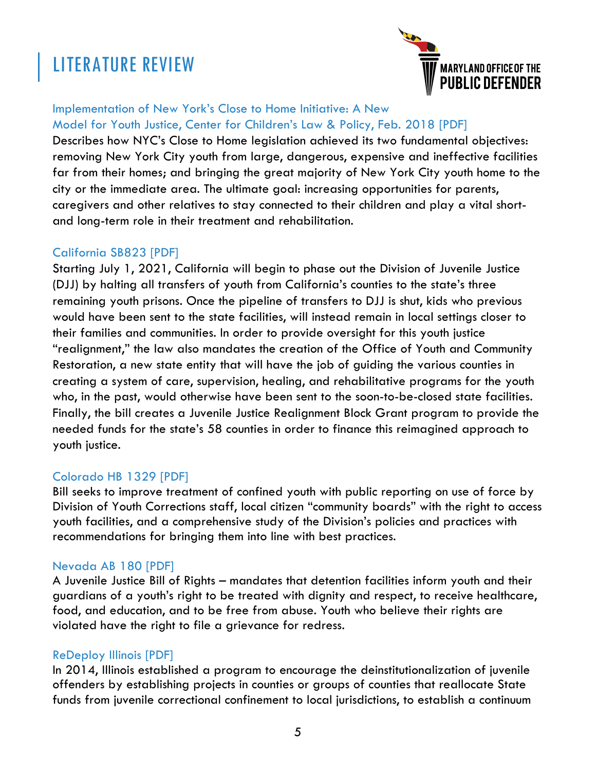# LITERATURE REVIEW



#### Implementation of New York's Close to Home Initiative: A New Model for Youth Justice, Center for Children's Law & Policy, Feb. 2018 [PDF]

Describes how NYC's Close to Home legislation achieved its two fundamental objectives: removing New York City youth from large, dangerous, expensive and ineffective facilities far from their homes; and bringing the great majority of New York City youth home to the city or the immediate area. The ultimate goal: increasing opportunities for parents, caregivers and other relatives to stay connected to their children and play a vital shortand long-term role in their treatment and rehabilitation.

#### California SB823 [PDF]

Starting July 1, 2021, California will begin to phase out the Division of Juvenile Justice (DJJ) by halting all transfers of youth from California's counties to the state's three remaining youth prisons. Once the pipeline of transfers to DJJ is shut, kids who previous would have been sent to the state facilities, will instead remain in local settings closer to their families and communities. In order to provide oversight for this youth justice "realignment," the law also mandates the creation of the Office of Youth and Community Restoration, a new state entity that will have the job of guiding the various counties in creating a system of care, supervision, healing, and rehabilitative programs for the youth who, in the past, would otherwise have been sent to the soon-to-be-closed state facilities. Finally, the bill creates a Juvenile Justice Realignment Block Grant program to provide the needed funds for the state's 58 counties in order to finance this reimagined approach to youth justice.

#### Colorado HB 1329 [PDF]

Bill seeks to improve treatment of confined youth with public reporting on use of force by Division of Youth Corrections staff, local citizen "community boards" with the right to access youth facilities, and a comprehensive study of the Division's policies and practices with recommendations for bringing them into line with best practices.

#### Nevada AB 180 [PDF]

A Juvenile Justice Bill of Rights – mandates that detention facilities inform youth and their guardians of a youth's right to be treated with dignity and respect, to receive healthcare, food, and education, and to be free from abuse. Youth who believe their rights are violated have the right to file a grievance for redress.

#### ReDeploy Illinois [PDF]

In 2014, Illinois established a program to encourage the deinstitutionalization of juvenile offenders by establishing projects in counties or groups of counties that reallocate State funds from juvenile correctional confinement to local jurisdictions, to establish a continuum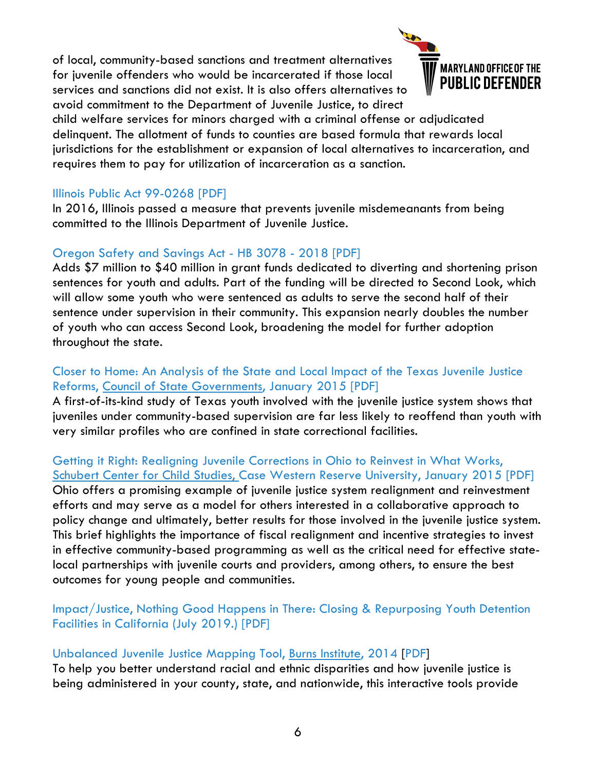of local, community-based sanctions and treatment alternatives for juvenile offenders who would be incarcerated if those local services and sanctions did not exist. It is also offers alternatives to avoid commitment to the Department of Juvenile Justice, to direct



child welfare services for minors charged with a criminal offense or adjudicated delinquent. The allotment of funds to counties are based formula that rewards local jurisdictions for the establishment or expansion of local alternatives to incarceration, and requires them to pay for utilization of incarceration as a sanction.

#### Illinois Public Act 99-0268 [PDF]

In 2016, Illinois passed a measure that prevents juvenile misdemeanants from being committed to the Illinois Department of Juvenile Justice.

#### Oregon Safety and Savings Act - HB 3078 - 2018 [PDF]

Adds \$7 million to \$40 million in grant funds dedicated to diverting and shortening prison sentences for youth and adults. Part of the funding will be directed to Second Look, which will allow some youth who were sentenced as adults to serve the second half of their sentence under supervision in their community. This expansion nearly doubles the number of youth who can access Second Look, broadening the model for further adoption throughout the state.

#### Closer to Home: An Analysis of the State and Local Impact of the Texas Juvenile Justice Reforms, Council of State Governments, January 2015 [PDF]

A first-of-its-kind study of Texas youth involved with the juvenile justice system shows that juveniles under community-based supervision are far less likely to reoffend than youth with very similar profiles who are confined in state correctional facilities.

#### Getting it Right: Realigning Juvenile Corrections in Ohio to Reinvest in What Works, Schubert Center for Child Studies, Case Western Reserve University, January 2015 [PDF] Ohio offers a promising example of juvenile justice system realignment and reinvestment efforts and may serve as a model for others interested in a collaborative approach to policy change and ultimately, better results for those involved in the juvenile justice system. This brief highlights the importance of fiscal realignment and incentive strategies to invest in effective community-based programming as well as the critical need for effective statelocal partnerships with juvenile courts and providers, among others, to ensure the best outcomes for young people and communities.

#### Impact/Justice, Nothing Good Happens in There: Closing & Repurposing Youth Detention Facilities in California (July 2019.) [PDF]

#### Unbalanced Juvenile Justice Mapping Tool, Burns Institute, 2014 [PDF]

To help you better understand racial and ethnic disparities and how juvenile justice is being administered in your county, state, and nationwide, this interactive tools provide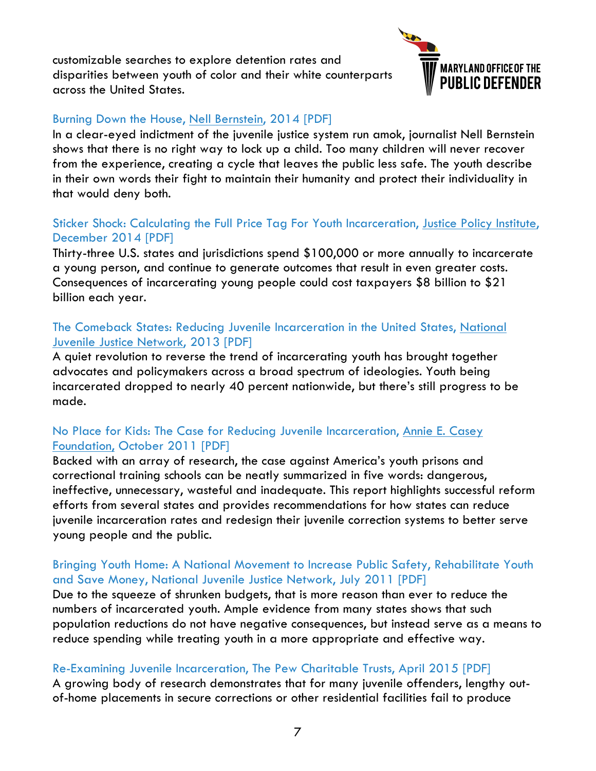customizable searches to explore detention rates and disparities between youth of color and their white counterparts across the United States.



#### Burning Down the House, Nell Bernstein, 2014 [PDF]

In a clear-eyed indictment of the juvenile justice system run amok, journalist Nell Bernstein shows that there is no right way to lock up a child. Too many children will never recover from the experience, creating a cycle that leaves the public less safe. The youth describe in their own words their fight to maintain their humanity and protect their individuality in that would deny both.

#### Sticker Shock: Calculating the Full Price Tag For Youth Incarceration, Justice Policy Institute, December 2014 [PDF]

Thirty-three U.S. states and jurisdictions spend \$100,000 or more annually to incarcerate a young person, and continue to generate outcomes that result in even greater costs. Consequences of incarcerating young people could cost taxpayers \$8 billion to \$21 billion each year.

#### The Comeback States: Reducing Juvenile Incarceration in the United States, National Juvenile Justice Network, 2013 [PDF]

A quiet revolution to reverse the trend of incarcerating youth has brought together advocates and policymakers across a broad spectrum of ideologies. Youth being incarcerated dropped to nearly 40 percent nationwide, but there's still progress to be made.

#### No Place for Kids: The Case for Reducing Juvenile Incarceration, Annie E. Casey Foundation, October 2011 [PDF]

Backed with an array of research, the case against America's youth prisons and correctional training schools can be neatly summarized in five words: dangerous, ineffective, unnecessary, wasteful and inadequate. This report highlights successful reform efforts from several states and provides recommendations for how states can reduce juvenile incarceration rates and redesign their juvenile correction systems to better serve young people and the public.

#### Bringing Youth Home: A National Movement to Increase Public Safety, Rehabilitate Youth and Save Money, National Juvenile Justice Network, July 2011 [PDF]

Due to the squeeze of shrunken budgets, that is more reason than ever to reduce the numbers of incarcerated youth. Ample evidence from many states shows that such population reductions do not have negative consequences, but instead serve as a means to reduce spending while treating youth in a more appropriate and effective way.

#### Re-Examining Juvenile Incarceration, The Pew Charitable Trusts, April 2015 [PDF]

A growing body of research demonstrates that for many juvenile offenders, lengthy outof-home placements in secure corrections or other residential facilities fail to produce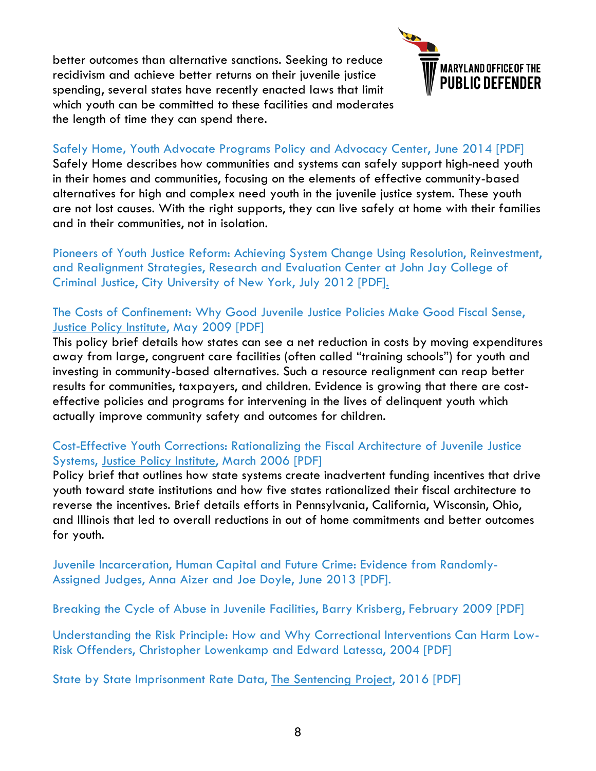better outcomes than alternative sanctions. Seeking to reduce recidivism and achieve better returns on their juvenile justice spending, several states have recently enacted laws that limit which youth can be committed to these facilities and moderates the length of time they can spend there.



#### Safely Home**,** Youth Advocate Programs Policy and Advocacy Center, June 2014 [PDF]

Safely Home describes how communities and systems can safely support high-need youth in their homes and communities, focusing on the elements of effective community-based alternatives for high and complex need youth in the juvenile justice system. These youth are not lost causes. With the right supports, they can live safely at home with their families and in their communities, not in isolation.

Pioneers of Youth Justice Reform: Achieving System Change Using Resolution, Reinvestment, and Realignment Strategies, Research and Evaluation Center at John Jay College of Criminal Justice, City University of New York, July 2012 [PDF].

#### The Costs of Confinement: Why Good Juvenile Justice Policies Make Good Fiscal Sense, Justice Policy Institute, May 2009 [PDF]

This policy brief details how states can see a net reduction in costs by moving expenditures away from large, congruent care facilities (often called "training schools") for youth and investing in community-based alternatives. Such a resource realignment can reap better results for communities, taxpayers, and children. Evidence is growing that there are costeffective policies and programs for intervening in the lives of delinquent youth which actually improve community safety and outcomes for children.

#### Cost-Effective Youth Corrections: Rationalizing the Fiscal Architecture of Juvenile Justice Systems, Justice Policy Institute, March 2006 [PDF]

Policy brief that outlines how state systems create inadvertent funding incentives that drive youth toward state institutions and how five states rationalized their fiscal architecture to reverse the incentives. Brief details efforts in Pennsylvania, California, Wisconsin, Ohio, and Illinois that led to overall reductions in out of home commitments and better outcomes for youth.

Juvenile Incarceration, Human Capital and Future Crime: Evidence from Randomly-Assigned Judges, Anna Aizer and Joe Doyle, June 2013 [PDF].

Breaking the Cycle of Abuse in Juvenile Facilities, Barry Krisberg, February 2009 [PDF]

Understanding the Risk Principle: How and Why Correctional Interventions Can Harm Low-Risk Offenders, Christopher Lowenkamp and Edward Latessa, 2004 [PDF]

State by State Imprisonment Rate Data, The Sentencing Project, 2016 [PDF]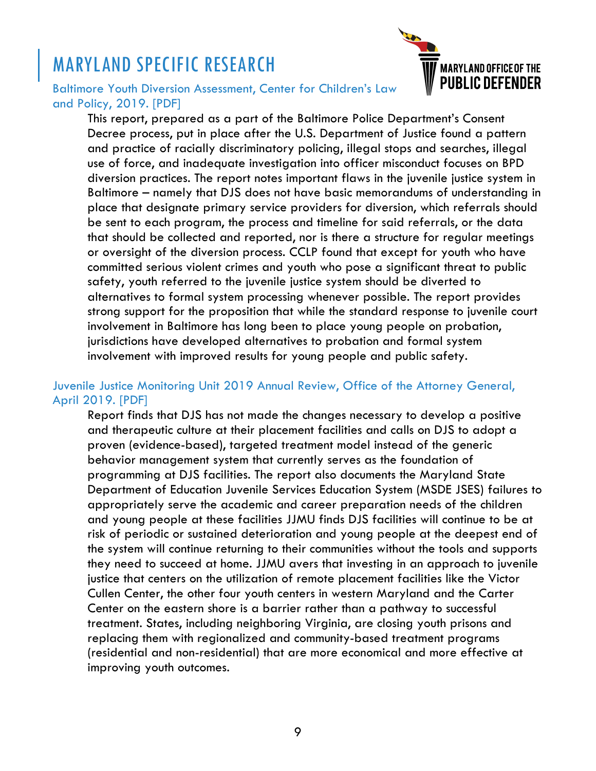# MARYLAND SPECIFIC RESEARCH



#### Baltimore Youth Diversion Assessment, Center for Children's Law and Policy, 2019. [PDF]

This report, prepared as a part of the Baltimore Police Department's Consent Decree process, put in place after the U.S. Department of Justice found a pattern and practice of racially discriminatory policing, illegal stops and searches, illegal use of force, and inadequate investigation into officer misconduct focuses on BPD diversion practices. The report notes important flaws in the juvenile justice system in Baltimore – namely that DJS does not have basic memorandums of understanding in place that designate primary service providers for diversion, which referrals should be sent to each program, the process and timeline for said referrals, or the data that should be collected and reported, nor is there a structure for regular meetings or oversight of the diversion process. CCLP found that except for youth who have committed serious violent crimes and youth who pose a significant threat to public safety, youth referred to the juvenile justice system should be diverted to alternatives to formal system processing whenever possible. The report provides strong support for the proposition that while the standard response to juvenile court involvement in Baltimore has long been to place young people on probation, jurisdictions have developed alternatives to probation and formal system involvement with improved results for young people and public safety.

#### Juvenile Justice Monitoring Unit 2019 Annual Review, Office of the Attorney General, April 2019. [PDF]

Report finds that DJS has not made the changes necessary to develop a positive and therapeutic culture at their placement facilities and calls on DJS to adopt a proven (evidence-based), targeted treatment model instead of the generic behavior management system that currently serves as the foundation of programming at DJS facilities. The report also documents the Maryland State Department of Education Juvenile Services Education System (MSDE JSES) failures to appropriately serve the academic and career preparation needs of the children and young people at these facilities JJMU finds DJS facilities will continue to be at risk of periodic or sustained deterioration and young people at the deepest end of the system will continue returning to their communities without the tools and supports they need to succeed at home. JJMU avers that investing in an approach to juvenile justice that centers on the utilization of remote placement facilities like the Victor Cullen Center, the other four youth centers in western Maryland and the Carter Center on the eastern shore is a barrier rather than a pathway to successful treatment. States, including neighboring Virginia, are closing youth prisons and replacing them with regionalized and community-based treatment programs (residential and non-residential) that are more economical and more effective at improving youth outcomes.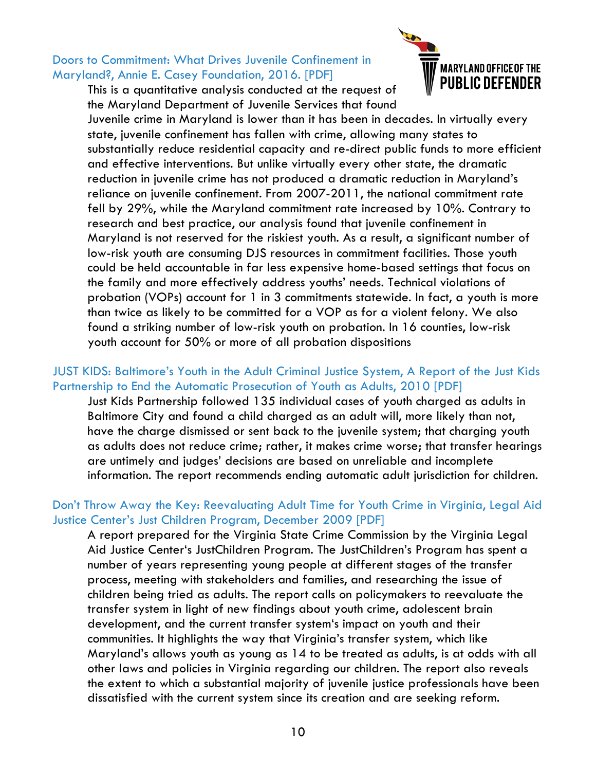#### Doors to Commitment: What Drives Juvenile Confinement in Maryland?, Annie E. Casey Foundation, 2016. [PDF]

This is a quantitative analysis conducted at the request of the Maryland Department of Juvenile Services that found



Juvenile crime in Maryland is lower than it has been in decades. In virtually every state, juvenile confinement has fallen with crime, allowing many states to substantially reduce residential capacity and re-direct public funds to more efficient and effective interventions. But unlike virtually every other state, the dramatic reduction in juvenile crime has not produced a dramatic reduction in Maryland's reliance on juvenile confinement. From 2007-2011, the national commitment rate fell by 29%, while the Maryland commitment rate increased by 10%. Contrary to research and best practice, our analysis found that juvenile confinement in Maryland is not reserved for the riskiest youth. As a result, a significant number of low-risk youth are consuming DJS resources in commitment facilities. Those youth could be held accountable in far less expensive home-based settings that focus on the family and more effectively address youths' needs. Technical violations of probation (VOPs) account for 1 in 3 commitments statewide. In fact, a youth is more than twice as likely to be committed for a VOP as for a violent felony. We also found a striking number of low-risk youth on probation. In 16 counties, low-risk youth account for 50% or more of all probation dispositions

#### JUST KIDS: Baltimore's Youth in the Adult Criminal Justice System, A Report of the Just Kids Partnership to End the Automatic Prosecution of Youth as Adults, 2010 [PDF]

Just Kids Partnership followed 135 individual cases of youth charged as adults in Baltimore City and found a child charged as an adult will, more likely than not, have the charge dismissed or sent back to the juvenile system; that charging youth as adults does not reduce crime; rather, it makes crime worse; that transfer hearings are untimely and judges' decisions are based on unreliable and incomplete information. The report recommends ending automatic adult jurisdiction for children.

#### Don't Throw Away the Key: Reevaluating Adult Time for Youth Crime in Virginia, Legal Aid Justice Center's Just Children Program, December 2009 [PDF]

A report prepared for the Virginia State Crime Commission by the Virginia Legal Aid Justice Center's JustChildren Program. The JustChildren's Program has spent a number of years representing young people at different stages of the transfer process, meeting with stakeholders and families, and researching the issue of children being tried as adults. The report calls on policymakers to reevaluate the transfer system in light of new findings about youth crime, adolescent brain development, and the current transfer system's impact on youth and their communities. It highlights the way that Virginia's transfer system, which like Maryland's allows youth as young as 14 to be treated as adults, is at odds with all other laws and policies in Virginia regarding our children. The report also reveals the extent to which a substantial majority of juvenile justice professionals have been dissatisfied with the current system since its creation and are seeking reform.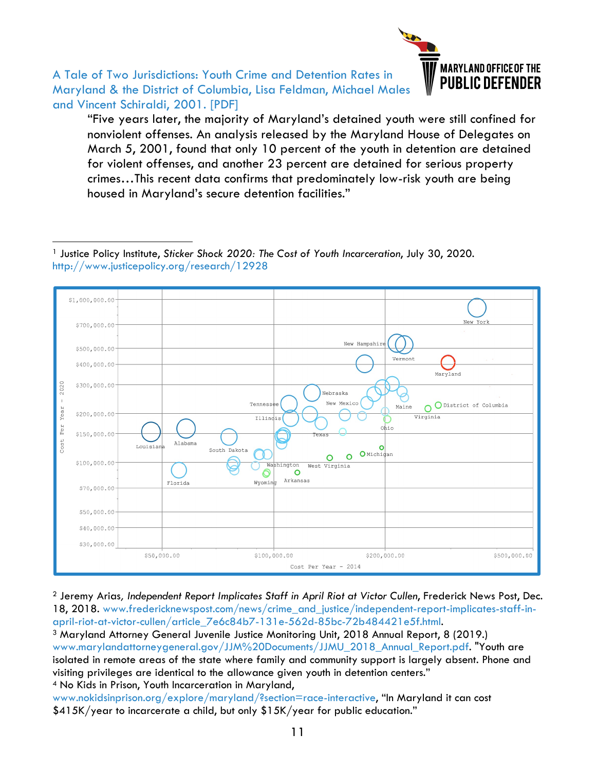

A Tale of Two Jurisdictions: Youth Crime and Detention Rates in Maryland & the District of Columbia, Lisa Feldman, Michael Males and Vincent Schiraldi, 2001. [PDF]

-

"Five years later, the majority of Maryland's detained youth were still confined for nonviolent offenses. An analysis released by the Maryland House of Delegates on March 5, 2001, found that only 10 percent of the youth in detention are detained for violent offenses, and another 23 percent are detained for serious property crimes…This recent data confirms that predominately low-risk youth are being housed in Maryland's secure detention facilities."

<sup>1</sup> Justice Policy Institute, *Sticker Shock 2020: The Cost of Youth Incarceration*, July 30, 2020. http://www.justicepolicy.org/research/12928



<sup>2</sup> Jeremy Arias*, Independent Report Implicates Staff in April Riot at Victor Cullen*, Frederick News Post, Dec. 18, 2018. www.fredericknewspost.com/news/crime\_and\_justice/independent-report-implicates-staff-in-

april-riot-at-victor-cullen/article\_7e6c84b7-131e-562d-85bc-72b484421e5f.html. 3 Maryland Attorney General Juvenile Justice Monitoring Unit, 2018 Annual Report, 8 (2019.) www.marylandattorneygeneral.gov/JJM%20Documents/JJMU\_2018\_Annual\_Report.pdf. "Youth are isolated in remote areas of the state where family and community support is largely absent. Phone and visiting privileges are identical to the allowance given youth in detention centers." <sup>4</sup> No Kids in Prison, Youth Incarceration in Maryland,

www.nokidsinprison.org/explore/maryland/?section=race-interactive, "In Maryland it can cost \$415K/year to incarcerate a child, but only \$15K/year for public education."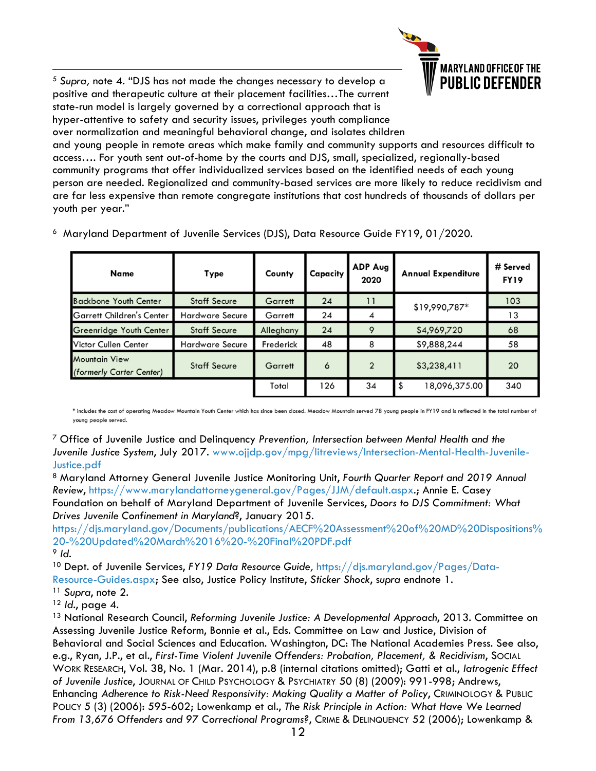

 5 *Supra,* note 4. "DJS has not made the changes necessary to develop a positive and therapeutic culture at their placement facilities…The current state-run model is largely governed by a correctional approach that is hyper-attentive to safety and security issues, privileges youth compliance over normalization and meaningful behavioral change, and isolates children

and young people in remote areas which make family and community supports and resources difficult to access…. For youth sent out-of-home by the courts and DJS, small, specialized, regionally-based community programs that offer individualized services based on the identified needs of each young person are needed. Regionalized and community-based services are more likely to reduce recidivism and are far less expensive than remote congregate institutions that cost hundreds of thousands of dollars per youth per year."

| Name                                      | Type                   | County    | Capacity | ADP Aug<br>2020 | <b>Annual Expenditure</b> | # Served<br><b>FY19</b> |
|-------------------------------------------|------------------------|-----------|----------|-----------------|---------------------------|-------------------------|
| <b>Backbone Youth Center</b>              | <b>Staff Secure</b>    | Garrett   | 24       | 11              | \$19,990,787*             | 103                     |
| <b>Garrett Children's Center</b>          | <b>Hardware Secure</b> | Garrett   | 24       | 4               |                           | 13                      |
| Greenridge Youth Center                   | <b>Staff Secure</b>    | Alleghany | 24       | 9               | \$4,969,720               | 68                      |
| Victor Cullen Center                      | <b>Hardware Secure</b> | Frederick | 48       | 8               | \$9,888,244               | 58                      |
| Mountain View<br>(formerly Carter Center) | <b>Staff Secure</b>    | Garrett   | 6        | $\overline{2}$  | \$3,238,411               | 20                      |
|                                           |                        | Total     | 126      | 34              | 18,096,375.00             | 340                     |

6 Maryland Department of Juvenile Services (DJS), Data Resource Guide FY19, 01/2020.

\* includes the cost of operating Meadow Mountain Youth Center which has since been closed. Meadow Mountain served 78 young people in FY19 and is reflected in the total number of young people served.

<sup>7</sup> Office of Juvenile Justice and Delinquency *Prevention, Intersection between Mental Health and the Juvenile Justice System*, July 2017. www.ojjdp.gov/mpg/litreviews/Intersection-Mental-Health-Juvenile-Justice.pdf

<sup>8</sup> Maryland Attorney General Juvenile Justice Monitoring Unit, *Fourth Quarter Report and 2019 Annual Review*, https://www.marylandattorneygeneral.gov/Pages/JJM/default.aspx.; Annie E. Casey Foundation on behalf of Maryland Department of Juvenile Services, *Doors to DJS Commitment: What Drives Juvenile Confinement in Maryland*?, January 2015.

https://djs.maryland.gov/Documents/publications/AECF%20Assessment%20of%20MD%20Dispositions% 20-%20Updated%20March%2016%20-%20Final%20PDF.pdf <sup>9</sup> *Id.*

<sup>10</sup> Dept. of Juvenile Services, *FY19 Data Resource Guide,* https://djs.maryland.gov/Pages/Data-

Resource-Guides.aspx; See also, Justice Policy Institute, *Sticker Shock*, s*upra* endnote 1.

<sup>11</sup> *Supra*, note 2.

<sup>12</sup> *Id*., page 4.

<sup>13</sup> National Research Council, *Reforming Juvenile Justice: A Developmental Approach*, 2013. Committee on Assessing Juvenile Justice Reform, Bonnie et al., Eds. Committee on Law and Justice, Division of Behavioral and Social Sciences and Education. Washington, DC: The National Academies Press. See also, e.g., Ryan, J.P., et al., *First-Time Violent Juvenile Offenders: Probation, Placement, & Recidivism*, SOCIAL WORK RESEARCH, Vol. 38, No. 1 (Mar. 2014), p.8 (internal citations omitted); Gatti et al., *Iatrogenic Effect of Juvenile Justice*, JOURNAL OF CHILD PSYCHOLOGY & PSYCHIATRY 50 (8) (2009): 991-998; Andrews, Enhancing *Adherence to Risk-Need Responsivity: Making Quality a Matter of Policy*, CRIMINOLOGY & PUBLIC POLICY 5 (3) (2006): 595-602; Lowenkamp et al., *The Risk Principle in Action: What Have We Learned From 13,676 Offenders and 97 Correctional Programs?*, CRIME & DELINQUENCY 52 (2006); Lowenkamp &